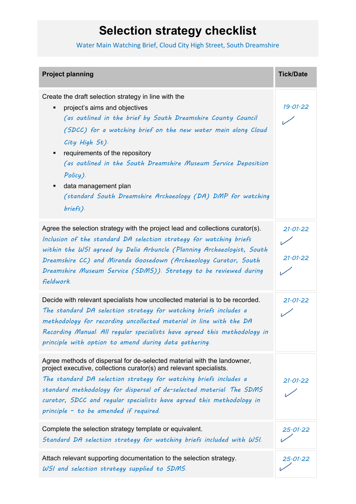## **Selection strategy checklist**

Water Main Watching Brief, Cloud City High Street, South Dreamshire

| <b>Project planning</b>                                                                                                                                                                                                                                                                                                                                                                                                                                                | <b>Tick/Date</b>     |
|------------------------------------------------------------------------------------------------------------------------------------------------------------------------------------------------------------------------------------------------------------------------------------------------------------------------------------------------------------------------------------------------------------------------------------------------------------------------|----------------------|
| Create the draft selection strategy in line with the<br>project's aims and objectives<br>(as outlined in the brief by South Dreamshire County Council<br>(SDCC) for a watching brief on the new water main along Cloud<br>City High St).<br>requirements of the repository<br>٠<br>(as outlined in the South Dreamshire Museum Service Deposition<br>Policy).<br>data management plan<br>٠<br>(standard South Dreamshire Archaeology (DA) DMP for watching<br>briefs). | 19.01.22             |
| Agree the selection strategy with the project lead and collections curator(s).<br>Inclusion of the standard DA selection strategy for watching briefs<br>within the WSI agreed by Delia Arbuncle (Planning Archaeologist, South<br>Dreamshire CC) and Miranda Goosedown (Archaeology Curator, South<br>Dreamshire Museum Service (SDMS)). Strategy to be reviewed during<br>fieldwork.                                                                                 | 21.01.22<br>21.01.22 |
| Decide with relevant specialists how uncollected material is to be recorded.<br>The standard DA selection strategy for watching briefs includes a<br>methodology for recording uncollected material in line with the DA<br>Recording Manual All regular specialists have agreed this methodology in<br>principle with option to amend during data gathering.                                                                                                           | 21.01.22             |
| Agree methods of dispersal for de-selected material with the landowner,<br>project executive, collections curator(s) and relevant specialists.<br>The standard DA selection strategy for watching briefs includes a<br>standard methodology for dispersal of de-selected material. The SDMS<br>curator, SDCC and regular specialists have agreed this methodology in<br>principle - to be amended if required.                                                         | 21· <i>01</i> ·22    |
| Complete the selection strategy template or equivalent.<br>Standard DA selection strategy for watching briefs included with WSI                                                                                                                                                                                                                                                                                                                                        | 25.01.22             |
| Attach relevant supporting documentation to the selection strategy.<br>WSI and selection strategy supplied to SDMS.                                                                                                                                                                                                                                                                                                                                                    | 25.01.22             |